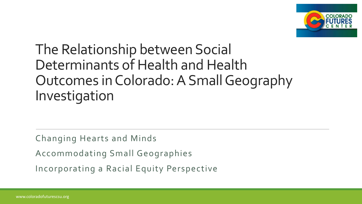

### The Relationship between Social Determinants of Health and Health Outcomes in Colorado: A Small Geography Investigation

Changing Hearts and Minds

Accommodating Small Geographies

Incorporating a Racial Equity Perspective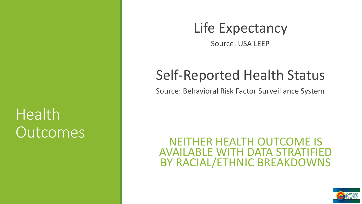## Health **Outcomes**

### Life Expectancy

Source: USA LEEP

### Self-Reported Health Status

Source: Behavioral Risk Factor Surveillance System

### NEITHER HEALTH OUTCOME IS AVAILABLE WITH DATA STRATIFIED BY RACIAL/ETHNIC BREAKDOWNS

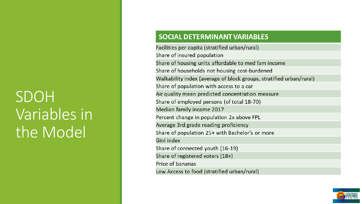## SDOH Variables in the Model

#### **SOCIAL DETERMINANT VARIABLES**

Facilities per capita (stratified urban/rural) Share of insured population Share of housing units affordable to med fam income Share of households not housing cost-burdened Walkability index (average of block groups, stratified urban/rural) Share of population with access to a car Air quality mean predicted concentration measure Share of employed persons (of total 18-70) Median family income 2017 Percent change in population 2x above FPL Average 3rd grade reading proficiency Share of population 25+ with Bachelor's or more Gini index Share of connected youth (16-19) Share of registered voters (18+) Price of bananas Low Access to food (stratified urban/rural)

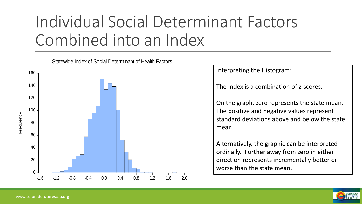# Individual Social Determinant Factors Combined into an Index

160  $140 120.$ 100 Frequency Frequency 80 60 40 20  $\Omega$ -1.6 -1.2 -0.8 -0.4 0.0 0.4 0.8 1.2 1.6 2.0

Statewide Index of Social Determinant of Health Factors

Interpreting the Histogram:

The index is a combination of z-scores.

On the graph, zero represents the state mean. The positive and negative values represent standard deviations above and below the state mean.

Alternatively, the graphic can be interpreted ordinally. Further away from zero in either direction represents incrementally better or worse than the state mean.

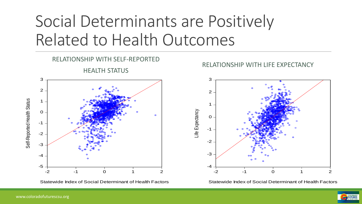## Social Determinants are Positively Related to Health Outcomes



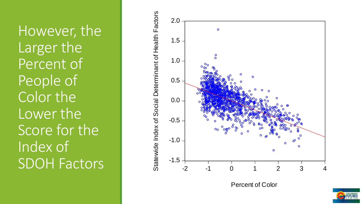However, the Larger the Percent of People of Color the Lower the Score for the Index of SDOH Factors



Percent of Color

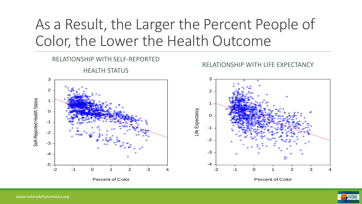## As a Result, the Larger the Percent People of Color, the Lower the Health Outcome